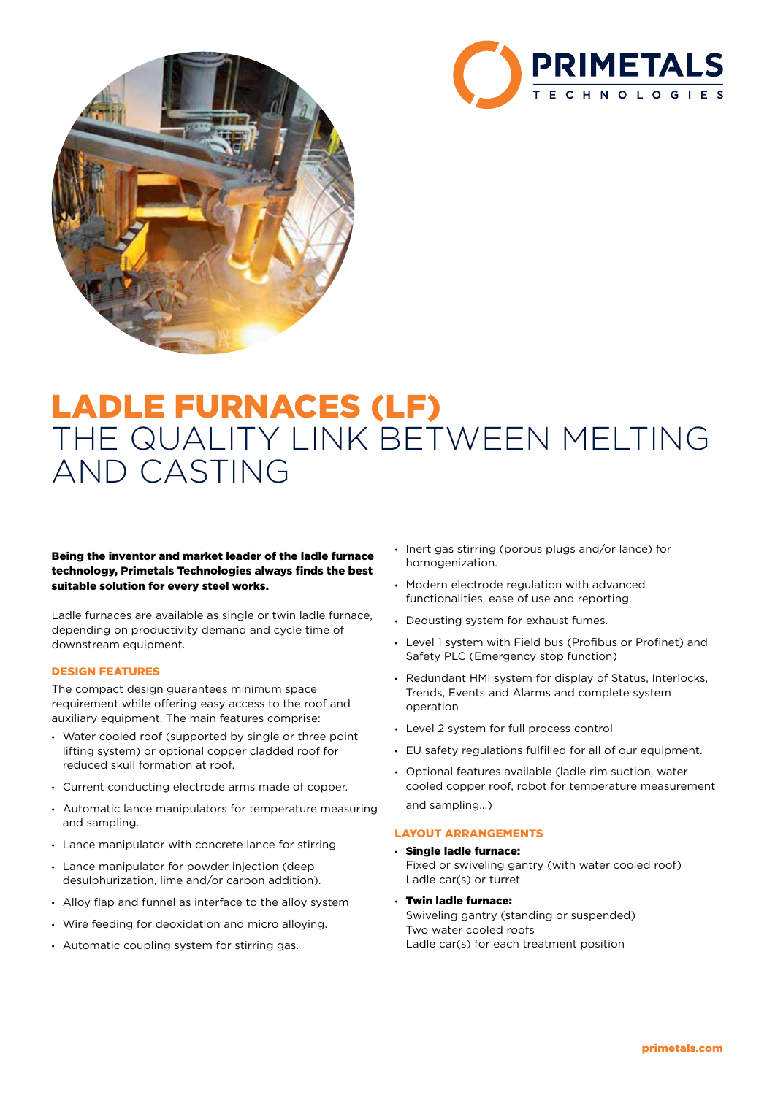



# LADLE FURNACES (LF) THE QUALITY LINK BETWEEN MELTING AND CASTING

Being the inventor and market leader of the ladle furnace technology, Primetals Technologies always finds the best suitable solution for every steel works.

Ladle furnaces are available as single or twin ladle furnace, depending on productivity demand and cycle time of downstream equipment.

## DESIGN FEATURES

The compact design guarantees minimum space requirement while offering easy access to the roof and auxiliary equipment. The main features comprise:

- Water cooled roof (supported by single or three point lifting system) or optional copper cladded roof for reduced skull formation at roof.
- Current conducting electrode arms made of copper.
- Automatic lance manipulators for temperature measuring and sampling.
- Lance manipulator with concrete lance for stirring
- Lance manipulator for powder injection (deep desulphurization, lime and/or carbon addition).
- Alloy flap and funnel as interface to the alloy system
- Wire feeding for deoxidation and micro alloying.
- Automatic coupling system for stirring gas.
- Inert gas stirring (porous plugs and/or lance) for homogenization.
- Modern electrode regulation with advanced functionalities, ease of use and reporting.
- Dedusting system for exhaust fumes.
- Level 1 system with Field bus (Profibus or Profinet) and Safety PLC (Emergency stop function)
- Redundant HMI system for display of Status, Interlocks, Trends, Events and Alarms and complete system operation
- Level 2 system for full process control
- EU safety regulations fulfilled for all of our equipment.
- Optional features available (ladle rim suction, water cooled copper roof, robot for temperature measurement and sampling…)

# LAYOUT ARRANGEMENTS

- Single ladle furnace: Fixed or swiveling gantry (with water cooled roof) Ladle car(s) or turret
- Twin ladle furnace: Swiveling gantry (standing or suspended) Two water cooled roofs Ladle car(s) for each treatment position